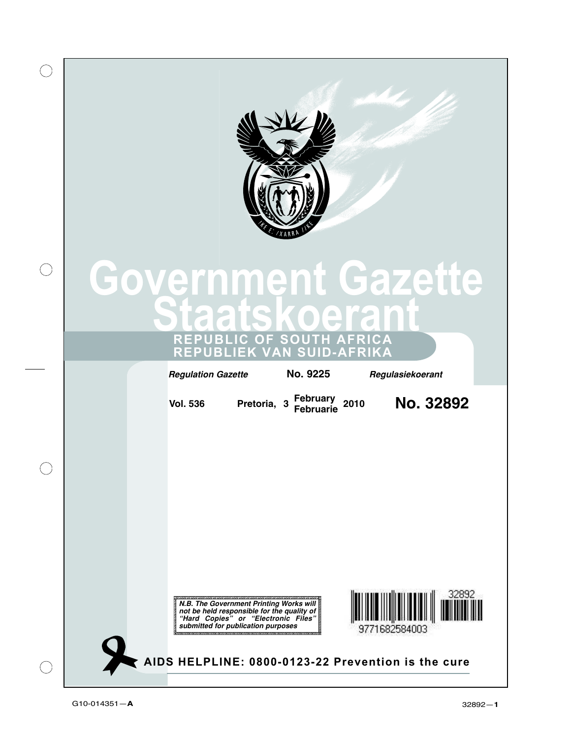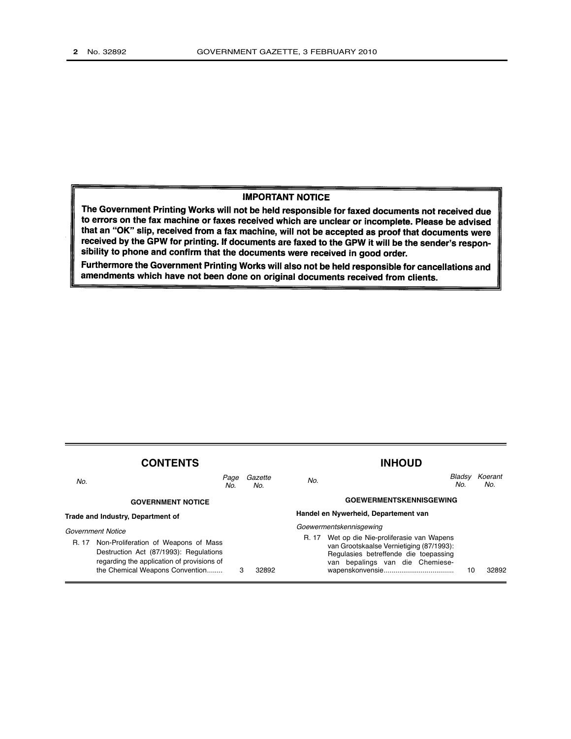### **IMPORTANT NOTICE**

The Government Printing Works will not be held responsible for faxed documents not received due to errors on the fax machine or faxes received which are unclear or incomplete. Please be advised that an "OK" slip, received from a fax machine, will not be accepted as proof that documents were received by the GPW for printing. If documents are faxed to the GPW it will be the sender's responsibility to phone and confirm that the documents were received in good order.

Furthermore the Government Printing Works will also not be held responsible for cancellations and amendments which have not been done on original documents received from clients.

| <b>CONTENTS</b>                   |                                                                                                                                                                 |   |                | <b>INHOUD</b>                        |                                                                                                                                                                |               |                |
|-----------------------------------|-----------------------------------------------------------------------------------------------------------------------------------------------------------------|---|----------------|--------------------------------------|----------------------------------------------------------------------------------------------------------------------------------------------------------------|---------------|----------------|
| No.                               | Page<br>No.                                                                                                                                                     |   | Gazette<br>No. | No.                                  |                                                                                                                                                                | Bladsv<br>No. | Koerant<br>No. |
|                                   | <b>GOVERNMENT NOTICE</b>                                                                                                                                        |   |                | <b>GOEWERMENTSKENNISGEWING</b>       |                                                                                                                                                                |               |                |
| Trade and Industry, Department of |                                                                                                                                                                 |   |                | Handel en Nywerheid, Departement van |                                                                                                                                                                |               |                |
| Government Notice                 |                                                                                                                                                                 |   |                | Goewermentskennisgewing              |                                                                                                                                                                |               |                |
| R. 17                             | Non-Proliferation of Weapons of Mass<br>Destruction Act (87/1993): Regulations<br>regarding the application of provisions of<br>the Chemical Weapons Convention | 3 | 32892          | R. 17                                | Wet op die Nie-proliferasie van Wapens<br>van Grootskaalse Vernietiging (87/1993):<br>Regulasies betreffende die toepassing<br>van bepalings van die Chemiese- | 10            | 32892          |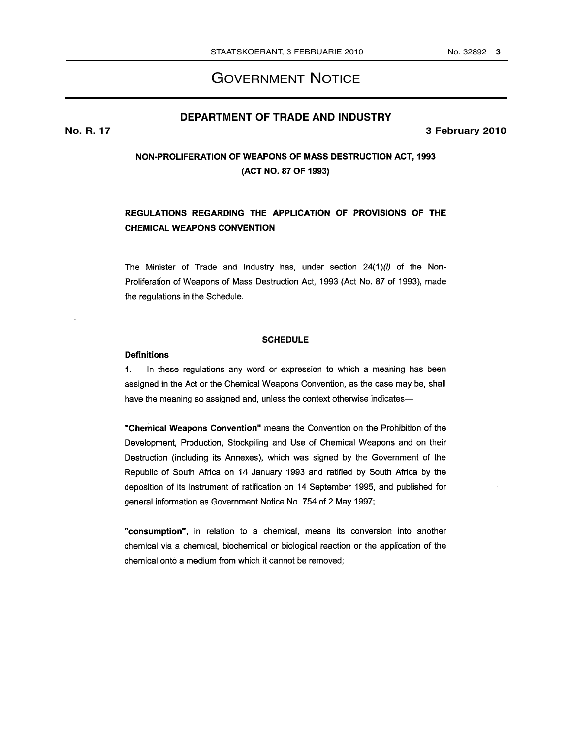# GOVERNMENT NOTICE

## **DEPARTMENT OF TRADE AND INDUSTRY**

**No. R. 17 3 February 2010**

## **NON-PROLIFERATION OF WEAPONS OF MASS DESTRUCTION ACT, 1993** (ACT NO. 87 OF 1993)

## REGULATIONS REGARDING THE APPLICATION OF PROVISIONS OF THE **CHEMICAL WEAPONS CONVENTION**

The Minister of Trade and Industry has, under section 24(1)(l) of the Non-Proliferation of Weapons of Mass Destruction Act, 1993 (Act No. 87 of 1993), made the regulations in the Schedule.

### **SCHEDULE**

#### **Definitions**

 $1.$ In these regulations any word or expression to which a meaning has been assigned in the Act or the Chemical Weapons Convention, as the case may be, shall have the meaning so assigned and, unless the context otherwise indicates-

"Chemical Weapons Convention" means the Convention on the Prohibition of the Development, Production, Stockpiling and Use of Chemical Weapons and on their Destruction (including its Annexes), which was signed by the Government of the Republic of South Africa on 14 January 1993 and ratified by South Africa by the deposition of its instrument of ratification on 14 September 1995, and published for general information as Government Notice No. 754 of 2 May 1997;

"consumption", in relation to a chemical, means its conversion into another chemical via a chemical, biochemical or biological reaction or the application of the chemical onto a medium from which it cannot be removed;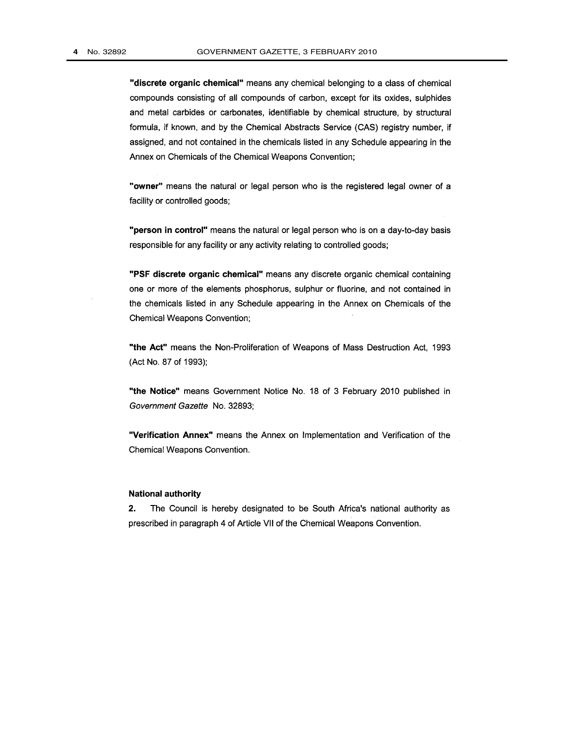"discrete organic chemical" means any chemical belonging to a class of chemical compounds consisting of all compounds of carbon, except for its oxides, sulphides and metal carbides or carbonates, identifiable by chemical structure, by structural formula, if known, and by the Chemical Abstracts Service (CAS) registry number, if assigned, and not contained in the chemicals listed in any Schedule appearing in the Annex on Chemicals of the Chemical Weapons Convention;

"owner" means the natural or legal person who is the registered legal owner of a facility or controlled goods;

"person in control" means the natural or legal person who is on a day-to-day basis responsible for any facility or any activity relating to controlled goods;

"PSF discrete organic chemical" means any discrete organic chemical containing one or more of the elements phosphorus, sulphur or fluorine, and not contained in the chemicals listed in any Schedule appearing in the Annex on Chemicals of the Chemical Weapons Convention;

"the Act" means the Non-Proliferation of Weapons of Mass Destruction Act, 1993 (Act No. 87 of 1993);

"the Notice" means Government Notice No. 18 of 3 February 2010 published in Government Gazette No. 32893;

"Verification Annex" means the Annex on Implementation and Verification of the Chemical Weapons Convention.

#### **National authority**

 $2.$ The Council is hereby designated to be South Africa's national authority as prescribed in paragraph 4 of Article VII of the Chemical Weapons Convention.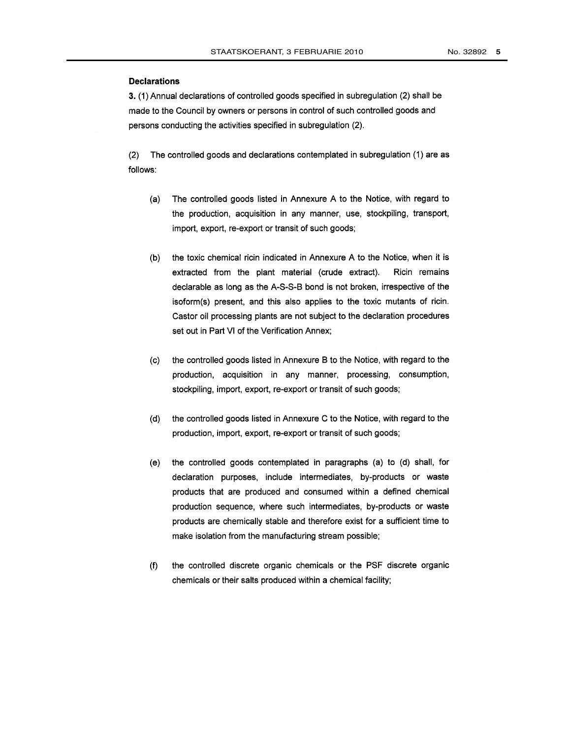#### **Declarations**

3. (1) Annual declarations of controlled goods specified in subregulation (2) shall be made to the Council by owners or persons in control of such controlled goods and persons conducting the activities specified in subregulation (2).

The controlled goods and declarations contemplated in subregulation (1) are as  $(2)$ follows:

- $(a)$ The controlled goods listed in Annexure A to the Notice, with regard to the production, acquisition in any manner, use, stockpiling, transport, import, export, re-export or transit of such goods;
- the toxic chemical ricin indicated in Annexure A to the Notice, when it is  $(b)$ extracted from the plant material (crude extract). Ricin remains declarable as long as the A-S-S-B bond is not broken, irrespective of the isoform(s) present, and this also applies to the toxic mutants of ricin. Castor oil processing plants are not subject to the declaration procedures set out in Part VI of the Verification Annex;
- $(c)$ the controlled goods listed in Annexure B to the Notice, with regard to the production, acquisition in any manner, processing, consumption, stockpiling, import, export, re-export or transit of such goods;
- the controlled goods listed in Annexure C to the Notice, with regard to the  $(d)$ production, import, export, re-export or transit of such goods;
- the controlled goods contemplated in paragraphs (a) to (d) shall, for (e) declaration purposes, include intermediates, by-products or waste products that are produced and consumed within a defined chemical production sequence, where such intermediates, by-products or waste products are chemically stable and therefore exist for a sufficient time to make isolation from the manufacturing stream possible;
- the controlled discrete organic chemicals or the PSF discrete organic  $(f)$ chemicals or their salts produced within a chemical facility;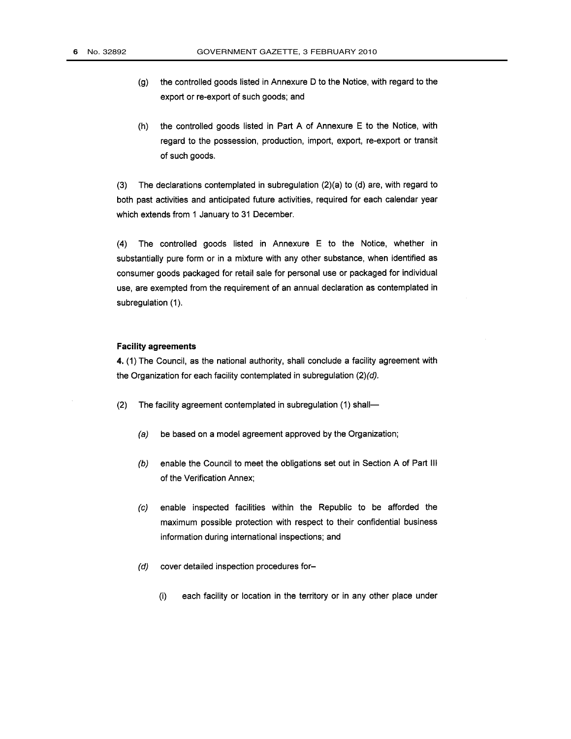- the controlled goods listed in Annexure D to the Notice, with regard to the  $(g)$ export or re-export of such goods; and
- the controlled goods listed in Part A of Annexure E to the Notice, with  $(h)$ regard to the possession, production, import, export, re-export or transit of such goods.

 $(3)$ The declarations contemplated in subregulation (2)(a) to (d) are, with regard to both past activities and anticipated future activities, required for each calendar year which extends from 1 January to 31 December.

 $(4)$ The controlled goods listed in Annexure E to the Notice, whether in substantially pure form or in a mixture with any other substance, when identified as consumer goods packaged for retail sale for personal use or packaged for individual use, are exempted from the requirement of an annual declaration as contemplated in subregulation (1).

#### **Facility agreements**

4. (1) The Council, as the national authority, shall conclude a facility agreement with the Organization for each facility contemplated in subregulation  $(2)(d)$ .

- The facility agreement contemplated in subregulation (1) shall- $(2)$ 
	- be based on a model agreement approved by the Organization;  $(a)$
	- enable the Council to meet the obligations set out in Section A of Part III  $(b)$ of the Verification Annex;
	- $(c)$ enable inspected facilities within the Republic to be afforded the maximum possible protection with respect to their confidential business information during international inspections; and
	- $(d)$ cover detailed inspection procedures for
		- each facility or location in the territory or in any other place under  $(i)$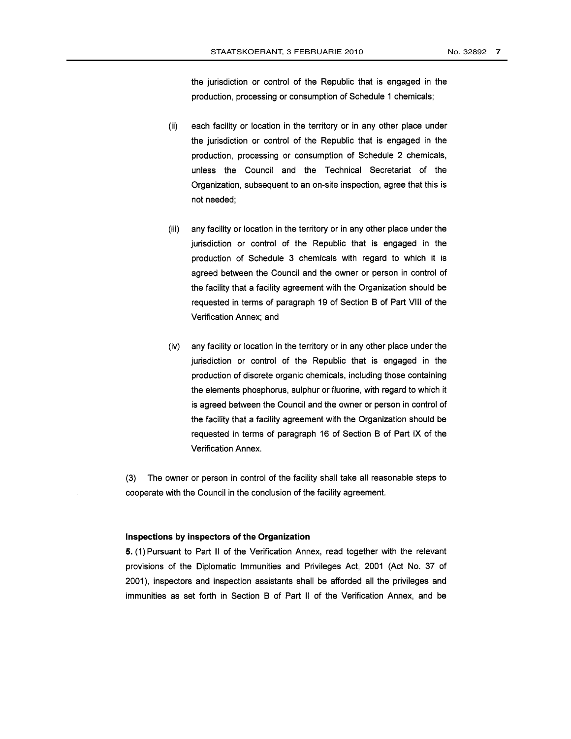the jurisdiction or control of the Republic that is engaged in the production, processing or consumption of Schedule 1 chemicals;

- each facility or location in the territory or in any other place under  $(ii)$ the jurisdiction or control of the Republic that is engaged in the production, processing or consumption of Schedule 2 chemicals, unless the Council and the Technical Secretariat of the Organization, subsequent to an on-site inspection, agree that this is not needed;
- $(iii)$ any facility or location in the territory or in any other place under the jurisdiction or control of the Republic that is engaged in the production of Schedule 3 chemicals with regard to which it is agreed between the Council and the owner or person in control of the facility that a facility agreement with the Organization should be requested in terms of paragraph 19 of Section B of Part VIII of the Verification Annex; and
- (iv) any facility or location in the territory or in any other place under the jurisdiction or control of the Republic that is engaged in the production of discrete organic chemicals, including those containing the elements phosphorus, sulphur or fluorine, with regard to which it is agreed between the Council and the owner or person in control of the facility that a facility agreement with the Organization should be requested in terms of paragraph 16 of Section B of Part IX of the Verification Annex.

(3) The owner or person in control of the facility shall take all reasonable steps to cooperate with the Council in the conclusion of the facility agreement.

#### Inspections by inspectors of the Organization

5. (1) Pursuant to Part II of the Verification Annex, read together with the relevant provisions of the Diplomatic Immunities and Privileges Act, 2001 (Act No. 37 of 2001), inspectors and inspection assistants shall be afforded all the privileges and immunities as set forth in Section B of Part II of the Verification Annex, and be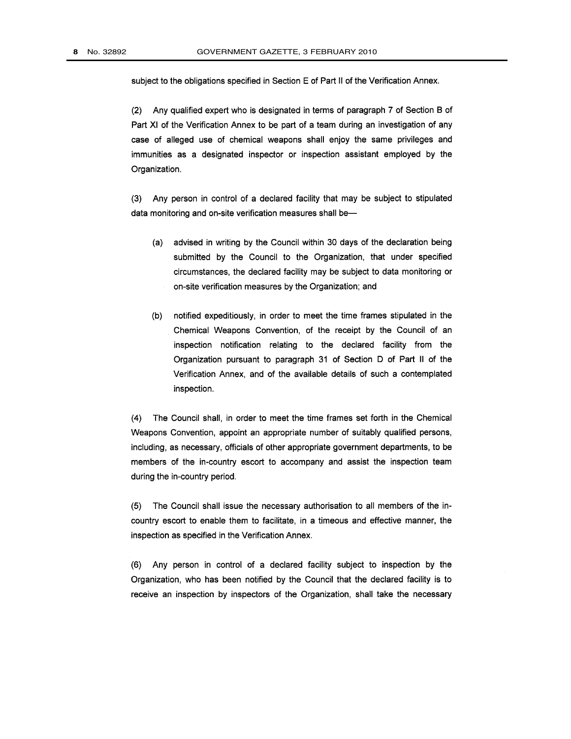subject to the obligations specified in Section E of Part II of the Verification Annex.

(2) Any qualified expert who is designated in terms of paragraph 7 of Section B of Part XI of the Verification Annex to be part of a team during an investigation of any case of alleged use of chemical weapons shall enjoy the same privileges and immunities as a designated inspector or inspection assistant employed by the Organization.

(3) Any person in control of a declared facility that may be subject to stipulated data monitoring and on-site verification measures shall be-

- (a) advised in writing by the Council within 30 days of the declaration being submitted by the Council to the Organization, that under specified circumstances, the declared facility may be subject to data monitoring or on-site verification measures by the Organization; and
- notified expeditiously, in order to meet the time frames stipulated in the  $(b)$ Chemical Weapons Convention, of the receipt by the Council of an inspection notification relating to the declared facility from the Organization pursuant to paragraph 31 of Section D of Part II of the Verification Annex, and of the available details of such a contemplated inspection.

(4) The Council shall, in order to meet the time frames set forth in the Chemical Weapons Convention, appoint an appropriate number of suitably qualified persons, including, as necessary, officials of other appropriate government departments, to be members of the in-country escort to accompany and assist the inspection team during the in-country period.

(5) The Council shall issue the necessary authorisation to all members of the incountry escort to enable them to facilitate, in a timeous and effective manner, the inspection as specified in the Verification Annex.

(6) Any person in control of a declared facility subject to inspection by the Organization, who has been notified by the Council that the declared facility is to receive an inspection by inspectors of the Organization, shall take the necessary